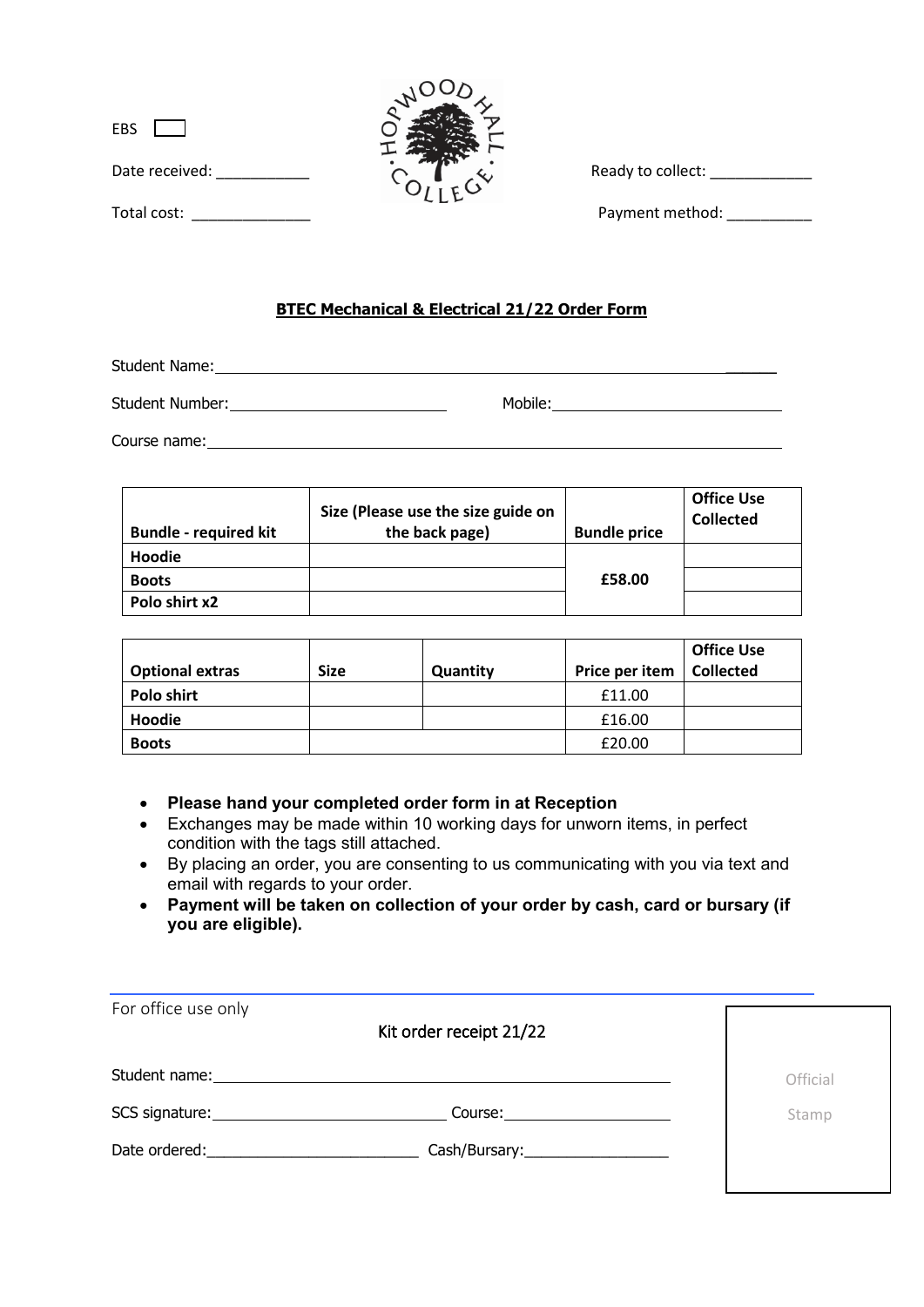| EBS            |  |
|----------------|--|
| Date received: |  |
| Total cost:    |  |



Ready to collect: \_\_\_\_\_\_\_\_\_\_\_\_\_\_

Total cost:  $\qquad \qquad$  Payment method:

## **BTEC Mechanical & Electrical 21/22 Order Form**

Student Name:

Student Number: Mobile: Mobile: Mobile: Mobile: Mobile: Mobile: Mobile: Mobile: Mobile: Mobile: Mobile: Mobile: Mobile: Mobile: Mobile: Mobile: Mobile: Mobile: Mobile: Mobile: Mobile: Mobile: Mobile: Mobile: Mobile: Mobile

Course name: <u>example and the contract of the contract of the contract of the contract of the contract of the contract of the contract of the contract of the contract of the contract of the contract of the contract of the </u>

| <b>Bundle - required kit</b> | Size (Please use the size guide on<br>the back page) | <b>Bundle price</b> | <b>Office Use</b><br><b>Collected</b> |
|------------------------------|------------------------------------------------------|---------------------|---------------------------------------|
| Hoodie                       |                                                      |                     |                                       |
| <b>Boots</b>                 |                                                      | £58.00              |                                       |
| Polo shirt x2                |                                                      |                     |                                       |

| <b>Optional extras</b> | <b>Size</b> | Quantity | Price per item | <b>Office Use</b><br><b>Collected</b> |
|------------------------|-------------|----------|----------------|---------------------------------------|
| <b>Polo shirt</b>      |             |          | £11.00         |                                       |
| Hoodie                 |             |          | £16.00         |                                       |
| <b>Boots</b>           |             |          | £20.00         |                                       |

- **Please hand your completed order form in at Reception**
- Exchanges may be made within 10 working days for unworn items, in perfect condition with the tags still attached.
- By placing an order, you are consenting to us communicating with you via text and email with regards to your order.
- **Payment will be taken on collection of your order by cash, card or bursary (if you are eligible).**

| For office use only                                                                                                                                                                                                           |                                     |          |
|-------------------------------------------------------------------------------------------------------------------------------------------------------------------------------------------------------------------------------|-------------------------------------|----------|
|                                                                                                                                                                                                                               | Kit order receipt 21/22             |          |
| Student name: 1997                                                                                                                                                                                                            |                                     | Official |
|                                                                                                                                                                                                                               |                                     |          |
| SCS signature: Note and the set of the set of the set of the set of the set of the set of the set of the set of the set of the set of the set of the set of the set of the set of the set of the set of the set of the set of | Course: 2000                        | Stamp    |
| Date ordered:                                                                                                                                                                                                                 | Cash/Bursary:______________________ |          |